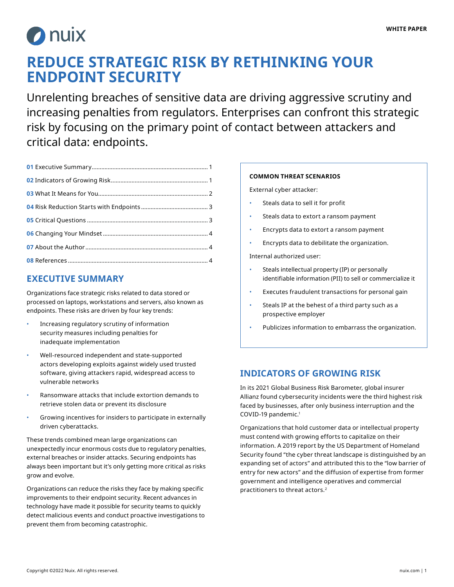

# **REDUCE STRATEGIC RISK BY RETHINKING YOUR ENDPOINT SECURITY**

Unrelenting breaches of sensitive data are driving aggressive scrutiny and increasing penalties from regulators. Enterprises can confront this strategic risk by focusing on the primary point of contact between attackers and critical data: endpoints.

### **EXECUTIVE SUMMARY**

Organizations face strategic risks related to data stored or processed on laptops, workstations and servers, also known as endpoints. These risks are driven by four key trends:

- Increasing regulatory scrutiny of information security measures including penalties for inadequate implementation
- Well-resourced independent and state-supported actors developing exploits against widely used trusted software, giving attackers rapid, widespread access to vulnerable networks
- Ransomware attacks that include extortion demands to retrieve stolen data or prevent its disclosure
- Growing incentives for insiders to participate in externally driven cyberattacks.

These trends combined mean large organizations can unexpectedly incur enormous costs due to regulatory penalties, external breaches or insider attacks. Securing endpoints has always been important but it's only getting more critical as risks grow and evolve.

Organizations can reduce the risks they face by making specific improvements to their endpoint security. Recent advances in technology have made it possible for security teams to quickly detect malicious events and conduct proactive investigations to prevent them from becoming catastrophic.

#### **COMMON THREAT SCENARIOS**

External cyber attacker:

- Steals data to sell it for profit
- Steals data to extort a ransom payment
- Encrypts data to extort a ransom payment
- Encrypts data to debilitate the organization.

Internal authorized user:

- Steals intellectual property (IP) or personally identifiable information (PII) to sell or commercialize it
- Executes fraudulent transactions for personal gain
- Steals IP at the behest of a third party such as a prospective employer
- Publicizes information to embarrass the organization.

### **INDICATORS OF GROWING RISK**

In its 2021 Global Business Risk Barometer, global insurer Allianz found cybersecurity incidents were the third highest risk faced by businesses, after only business interruption and the COVID-19 pandemic.1

Organizations that hold customer data or intellectual property must contend with growing efforts to capitalize on their information. A 2019 report by the US Department of Homeland Security found "the cyber threat landscape is distinguished by an expanding set of actors" and attributed this to the "low barrier of entry for new actors" and the diffusion of expertise from former government and intelligence operatives and commercial practitioners to threat actors.2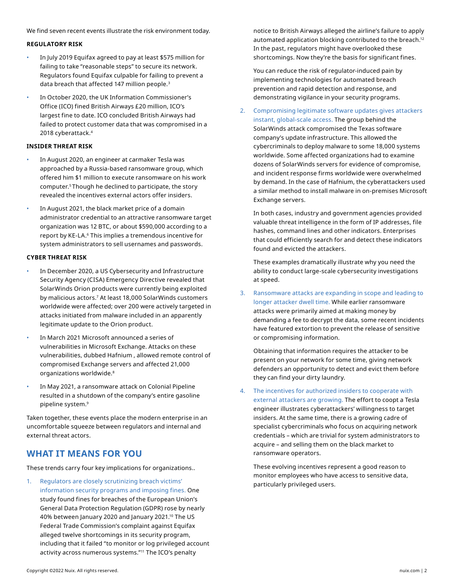<span id="page-1-0"></span>We find seven recent events illustrate the risk environment today.

#### **REGULATORY RISK**

- In July 2019 Equifax agreed to pay at least \$575 million for failing to take "reasonable steps" to secure its network. Regulators found Equifax culpable for failing to prevent a data breach that affected 147 million people.<sup>3</sup>
- In October 2020, the UK Information Commissioner's Office (ICO) fined British Airways £20 million, ICO's largest fine to date. ICO concluded British Airways had failed to protect customer data that was compromised in a 2018 cyberattack.4

#### **INSIDER THREAT RISK**

- In August 2020, an engineer at carmaker Tesla was approached by a Russia-based ransomware group, which offered him \$1 million to execute ransomware on his work computer.5 Though he declined to participate, the story revealed the incentives external actors offer insiders.
- In August 2021, the black market price of a domain administrator credential to an attractive ransomware target organization was 12 BTC, or about \$590,000 according to a report by KE-LA.6 This implies a tremendous incentive for system administrators to sell usernames and passwords.

#### **CYBER THREAT RISK**

- In December 2020, a US Cybersecurity and Infrastructure Security Agency (CISA) Emergency Directive revealed that SolarWinds Orion products were currently being exploited by malicious actors.7 At least 18,000 SolarWinds customers worldwide were affected; over 200 were actively targeted in attacks initiated from malware included in an apparently legitimate update to the Orion product.
- In March 2021 Microsoft announced a series of vulnerabilities in Microsoft Exchange. Attacks on these vulnerabilities, dubbed Hafnium , allowed remote control of compromised Exchange servers and affected 21,000 organizations worldwide.8
- In May 2021, a ransomware attack on Colonial Pipeline resulted in a shutdown of the company's entire gasoline pipeline system.9

Taken together, these events place the modern enterprise in an uncomfortable squeeze between regulators and internal and external threat actors.

### **WHAT IT MEANS FOR YOU**

These trends carry four key implications for organizations..

1. Regulators are closely scrutinizing breach victims' information security programs and imposing fines. One study found fines for breaches of the European Union's General Data Protection Regulation (GDPR) rose by nearly 40% between January 2020 and January 2021.<sup>10</sup> The US Federal Trade Commission's complaint against Equifax alleged twelve shortcomings in its security program, including that it failed "to monitor or log privileged account activity across numerous systems."11 The ICO's penalty

notice to British Airways alleged the airline's failure to apply automated application blocking contributed to the breach.<sup>12</sup> In the past, regulators might have overlooked these shortcomings. Now they're the basis for significant fines.

You can reduce the risk of regulator-induced pain by implementing technologies for automated breach prevention and rapid detection and response, and demonstrating vigilance in your security programs.

2. Compromising legitimate software updates gives attackers instant, global-scale access. The group behind the SolarWinds attack compromised the Texas software company's update infrastructure. This allowed the cybercriminals to deploy malware to some 18,000 systems worldwide. Some affected organizations had to examine dozens of SolarWinds servers for evidence of compromise, and incident response firms worldwide were overwhelmed by demand. In the case of Hafnium, the cyberattackers used a similar method to install malware in on-premises Microsoft Exchange servers.

In both cases, industry and government agencies provided valuable threat intelligence in the form of IP addresses, file hashes, command lines and other indicators. Enterprises that could efficiently search for and detect these indicators found and evicted the attackers.

These examples dramatically illustrate why you need the ability to conduct large-scale cybersecurity investigations at speed.

3. Ransomware attacks are expanding in scope and leading to longer attacker dwell time. While earlier ransomware attacks were primarily aimed at making money by demanding a fee to decrypt the data, some recent incidents have featured extortion to prevent the release of sensitive or compromising information.

Obtaining that information requires the attacker to be present on your network for some time, giving network defenders an opportunity to detect and evict them before they can find your dirty laundry.

4. The incentives for authorized insiders to cooperate with external attackers are growing. The effort to coopt a Tesla engineer illustrates cyberattackers' willingness to target insiders. At the same time, there is a growing cadre of specialist cybercriminals who focus on acquiring network credentials – which are trivial for system administrators to acquire – and selling them on the black market to ransomware operators.

These evolving incentives represent a good reason to monitor employees who have access to sensitive data, particularly privileged users.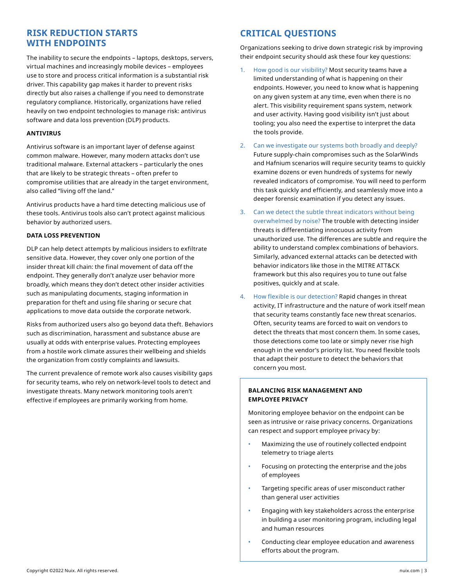### **RISK REDUCTION STARTS WITH ENDPOINTS**

The inability to secure the endpoints – laptops, desktops, servers, virtual machines and increasingly mobile devices – employees use to store and process critical information is a substantial risk driver. This capability gap makes it harder to prevent risks directly but also raises a challenge if you need to demonstrate regulatory compliance. Historically, organizations have relied heavily on two endpoint technologies to manage risk: antivirus software and data loss prevention (DLP) products.

#### **ANTIVIRUS**

Antivirus software is an important layer of defense against common malware. However, many modern attacks don't use traditional malware. External attackers – particularly the ones that are likely to be strategic threats – often prefer to compromise utilities that are already in the target environment, also called "living off the land."

Antivirus products have a hard time detecting malicious use of these tools. Antivirus tools also can't protect against malicious behavior by authorized users.

#### **DATA LOSS PREVENTION**

DLP can help detect attempts by malicious insiders to exfiltrate sensitive data. However, they cover only one portion of the insider threat kill chain: the final movement of data off the endpoint. They generally don't analyze user behavior more broadly, which means they don't detect other insider activities such as manipulating documents, staging information in preparation for theft and using file sharing or secure chat applications to move data outside the corporate network.

Risks from authorized users also go beyond data theft. Behaviors such as discrimination, harassment and substance abuse are usually at odds with enterprise values. Protecting employees from a hostile work climate assures their wellbeing and shields the organization from costly complaints and lawsuits.

The current prevalence of remote work also causes visibility gaps for security teams, who rely on network-level tools to detect and investigate threats. Many network monitoring tools aren't effective if employees are primarily working from home.

### **CRITICAL QUESTIONS**

Organizations seeking to drive down strategic risk by improving their endpoint security should ask these four key questions:

- 1. How good is our visibility? Most security teams have a limited understanding of what is happening on their endpoints. However, you need to know what is happening on any given system at any time, even when there is no alert. This visibility requirement spans system, network and user activity. Having good visibility isn't just about tooling; you also need the expertise to interpret the data the tools provide.
- 2. Can we investigate our systems both broadly and deeply? Future supply-chain compromises such as the SolarWinds and Hafnium scenarios will require security teams to quickly examine dozens or even hundreds of systems for newly revealed indicators of compromise. You will need to perform this task quickly and efficiently, and seamlessly move into a deeper forensic examination if you detect any issues.
- 3. Can we detect the subtle threat indicators without being overwhelmed by noise? The trouble with detecting insider threats is differentiating innocuous activity from unauthorized use. The differences are subtle and require the ability to understand complex combinations of behaviors. Similarly, advanced external attacks can be detected with behavior indicators like those in the MITRE ATT&CK framework but this also requires you to tune out false positives, quickly and at scale.
- 4. How flexible is our detection? Rapid changes in threat activity, IT infrastructure and the nature of work itself mean that security teams constantly face new threat scenarios. Often, security teams are forced to wait on vendors to detect the threats that most concern them. In some cases, those detections come too late or simply never rise high enough in the vendor's priority list. You need flexible tools that adapt their posture to detect the behaviors that concern you most.

#### **BALANCING RISK MANAGEMENT AND EMPLOYEE PRIVACY**

Monitoring employee behavior on the endpoint can be seen as intrusive or raise privacy concerns. Organizations can respect and support employee privacy by:

- Maximizing the use of routinely collected endpoint telemetry to triage alerts
- Focusing on protecting the enterprise and the jobs of employees
- Targeting specific areas of user misconduct rather than general user activities
- Engaging with key stakeholders across the enterprise in building a user monitoring program, including legal and human resources
- Conducting clear employee education and awareness efforts about the program.